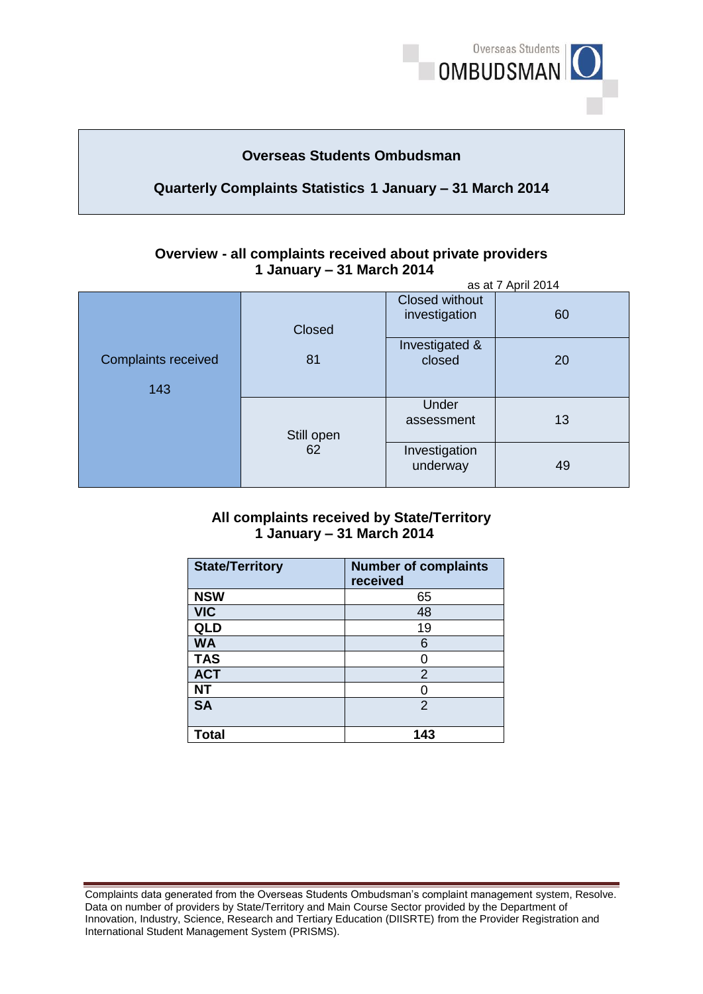

# **Overseas Students Ombudsman**

## **Quarterly Complaints Statistics 1 January – 31 March 2014**

#### **Overview - all complaints received about private providers 1 January – 31 March 2014**  as at 7 April 2014

|                                   | as at <i>T</i> April 2014 |                                 |    |
|-----------------------------------|---------------------------|---------------------------------|----|
| Closed                            |                           | Closed without<br>investigation | 60 |
| <b>Complaints received</b><br>143 | 81                        | Investigated &<br>closed        | 20 |
|                                   | Still open<br>62          | Under<br>assessment             | 13 |
|                                   |                           | Investigation<br>underway       | 49 |

### **1 January – 31 March 2014 All complaints received by State/Territory**

| <b>State/Territory</b> | <b>Number of complaints</b><br>received |
|------------------------|-----------------------------------------|
| <b>NSW</b>             | 65                                      |
| <b>VIC</b>             | 48                                      |
| QLD                    | 19                                      |
| <b>WA</b>              | 6                                       |
| <b>TAS</b>             | 0                                       |
| <b>ACT</b>             | 2                                       |
| <b>NT</b>              | ი                                       |
| <b>SA</b>              | $\mathfrak{p}$                          |
| Total                  | 143                                     |

Complaints data generated from the Overseas Students Ombudsman's complaint management system, Resolve. Complaints data generated from the Overseas Students Ombudsman's complaint management system, Resolve.<br>Data on number of providers by State/Territory and Main Course Sector provided by the Department of Innovation, Industry, Science, Research and Tertiary Education (DIISRTE) from the Provider Registration and International Student Management System (PRISMS).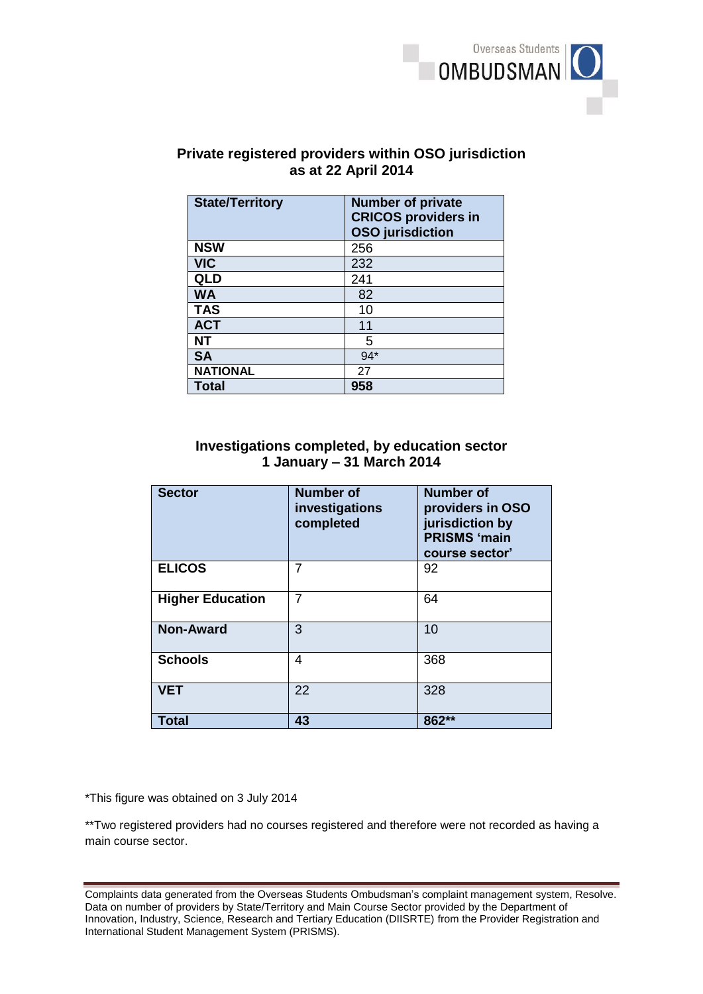

# **as at 22 April 2014 Private registered providers within OSO jurisdiction**

| <b>State/Territory</b> | <b>Number of private</b><br><b>CRICOS providers in</b><br><b>OSO</b> jurisdiction |
|------------------------|-----------------------------------------------------------------------------------|
| <b>NSW</b>             | 256                                                                               |
| <b>VIC</b>             | 232                                                                               |
| <b>QLD</b>             | 241                                                                               |
| <b>WA</b>              | 82                                                                                |
| <b>TAS</b>             | 10                                                                                |
| <b>ACT</b>             | 11                                                                                |
| NΤ                     | 5                                                                                 |
| <b>SA</b>              | $94*$                                                                             |
| <b>NATIONAL</b>        | 27                                                                                |
| <b>Total</b>           | 958                                                                               |

## **1 January – 31 March 2014 Investigations completed, by education sector**

| <b>Sector</b>           | <b>Number of</b><br>investigations<br>completed | <b>Number of</b><br>providers in OSO<br>jurisdiction by<br><b>PRISMS 'main</b><br>course sector' |
|-------------------------|-------------------------------------------------|--------------------------------------------------------------------------------------------------|
| <b>ELICOS</b>           | 7                                               | 92                                                                                               |
| <b>Higher Education</b> | 7                                               | 64                                                                                               |
| <b>Non-Award</b>        | 3                                               | 10                                                                                               |
| <b>Schools</b>          | 4                                               | 368                                                                                              |
| <b>VET</b>              | 22                                              | 328                                                                                              |
| <b>Total</b>            | 43                                              | $862**$                                                                                          |

\*This figure was obtained on 3 July 2014

\*\*Two registered providers had no courses registered and therefore were not recorded as having a main course sector.

Complaints data generated from the Overseas Students Ombudsman's complaint management system, Resolve. Complaints data generated from the Overseas Students Ombudsman's complaint management system, Resolve.<br>Data on number of providers by State/Territory and Main Course Sector provided by the Department of Innovation, Industry, Science, Research and Tertiary Education (DIISRTE) from the Provider Registration and International Student Management System (PRISMS).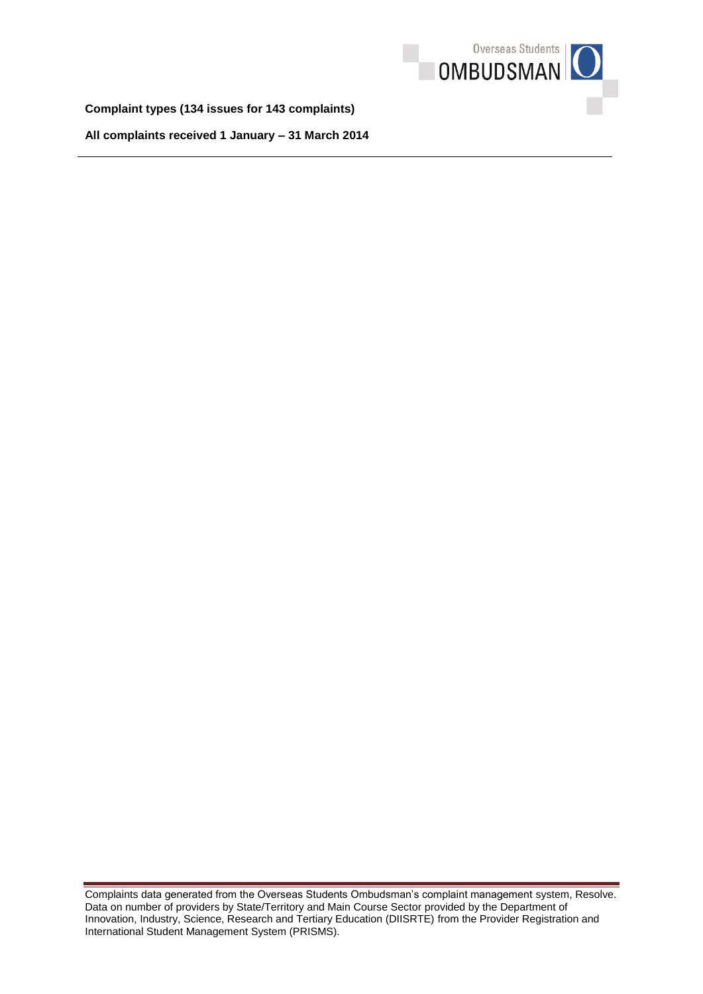

**Complaint types (134 issues for 143 complaints)** 

**All complaints received 1 January – 31 March 2014** 

Complaints data generated from the Overseas Students Ombudsman's complaint management system, Resolve. Complaints data generated from the Overseas Students Ombudsman's complaint management system, Resolve.<br>Data on number of providers by State/Territory and Main Course Sector provided by the Department of Innovation, Industry, Science, Research and Tertiary Education (DIISRTE) from the Provider Registration and International Student Management System (PRISMS).